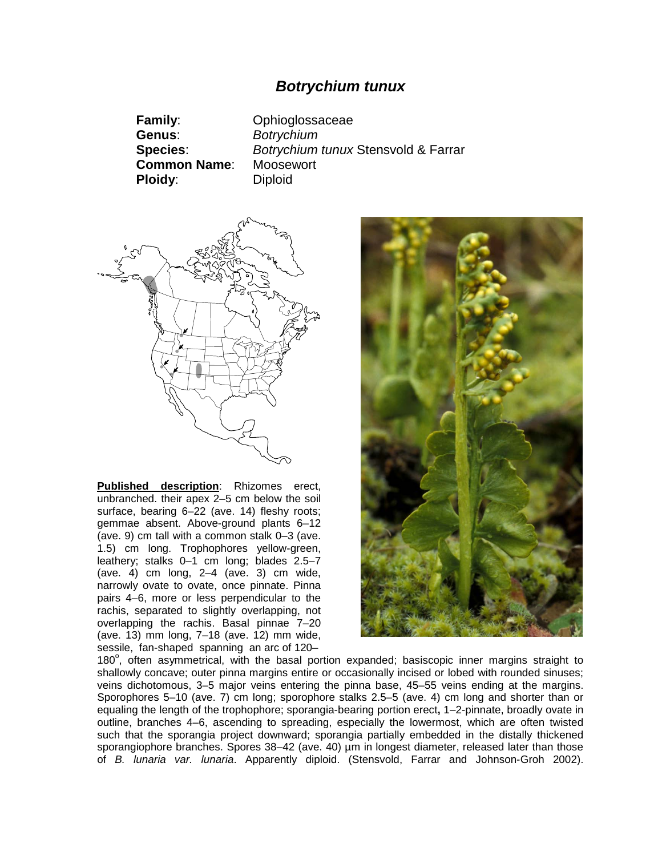## *Botrychium tunux*

**Family**: Ophioglossaceae **Genus**: *Botrychium* **Species**: *Botrychium tunux* Stensvold & Farrar **Common Name**: Moosewort **Ploidy:** Diploid



**Published description**: Rhizomes erect, unbranched. their apex 2–5 cm below the soil surface, bearing 6–22 (ave. 14) fleshy roots; gemmae absent. Above-ground plants 6–12 (ave. 9) cm tall with a common stalk 0–3 (ave. 1.5) cm long. Trophophores yellow-green, leathery; stalks 0–1 cm long; blades 2.5–7 (ave. 4) cm long,  $2-4$  (ave. 3) cm wide, narrowly ovate to ovate, once pinnate. Pinna pairs 4–6, more or less perpendicular to the rachis, separated to slightly overlapping, not overlapping the rachis. Basal pinnae 7–20 (ave. 13) mm long, 7–18 (ave. 12) mm wide, sessile, fan-shaped spanning an arc of 120–



180°, often asymmetrical, with the basal portion expanded; basiscopic inner margins straight to shallowly concave; outer pinna margins entire or occasionally incised or lobed with rounded sinuses; veins dichotomous, 3–5 major veins entering the pinna base, 45–55 veins ending at the margins. Sporophores 5–10 (ave. 7) cm long; sporophore stalks 2.5–5 (ave. 4) cm long and shorter than or equaling the length of the trophophore; sporangia-bearing portion erect**,** 1–2-pinnate, broadly ovate in outline, branches 4–6, ascending to spreading, especially the lowermost, which are often twisted such that the sporangia project downward; sporangia partially embedded in the distally thickened sporangiophore branches. Spores 38–42 (ave. 40) µm in longest diameter, released later than those of *B. lunaria var. lunaria*. Apparently diploid. (Stensvold, Farrar and Johnson-Groh 2002).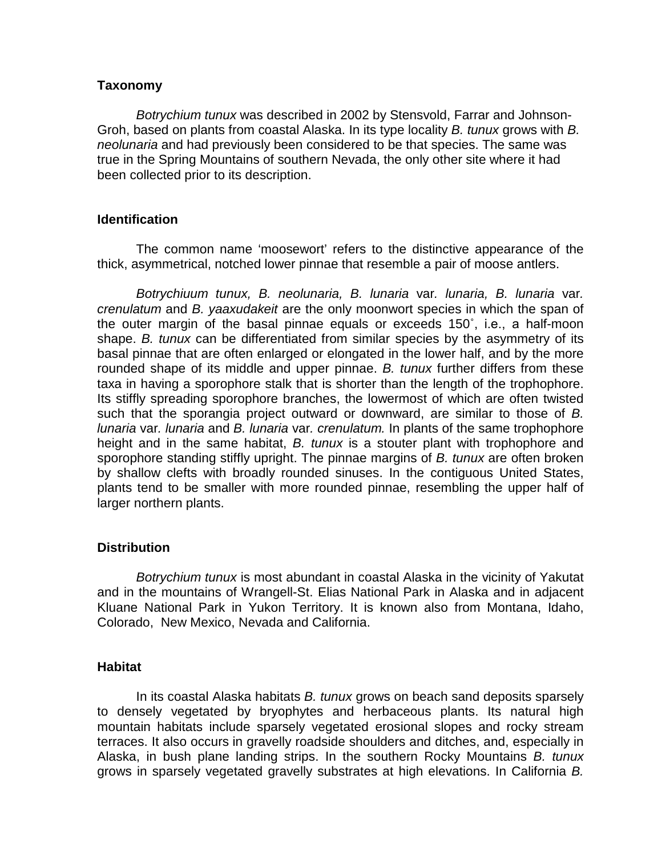## **Taxonomy**

*Botrychium tunux* was described in 2002 by Stensvold, Farrar and Johnson-Groh, based on plants from coastal Alaska. In its type locality *B. tunux* grows with *B. neolunaria* and had previously been considered to be that species. The same was true in the Spring Mountains of southern Nevada, the only other site where it had been collected prior to its description.

## **Identification**

The common name 'moosewort' refers to the distinctive appearance of the thick, asymmetrical, notched lower pinnae that resemble a pair of moose antlers.

*Botrychiuum tunux, B. neolunaria, B. lunaria* var*. lunaria, B. lunaria* var*. crenulatum* and *B. yaaxudakeit* are the only moonwort species in which the span of the outer margin of the basal pinnae equals or exceeds 150˚, i.e., a half-moon shape. *B. tunux* can be differentiated from similar species by the asymmetry of its basal pinnae that are often enlarged or elongated in the lower half, and by the more rounded shape of its middle and upper pinnae. *B. tunux* further differs from these taxa in having a sporophore stalk that is shorter than the length of the trophophore. Its stiffly spreading sporophore branches, the lowermost of which are often twisted such that the sporangia project outward or downward, are similar to those of *B. lunaria* var*. lunaria* and *B. lunaria* var*. crenulatum.* In plants of the same trophophore height and in the same habitat, *B. tunux* is a stouter plant with trophophore and sporophore standing stiffly upright. The pinnae margins of *B. tunux* are often broken by shallow clefts with broadly rounded sinuses. In the contiguous United States, plants tend to be smaller with more rounded pinnae, resembling the upper half of larger northern plants.

# **Distribution**

*Botrychium tunux* is most abundant in coastal Alaska in the vicinity of Yakutat and in the mountains of Wrangell-St. Elias National Park in Alaska and in adjacent Kluane National Park in Yukon Territory. It is known also from Montana, Idaho, Colorado, New Mexico, Nevada and California.

#### **Habitat**

In its coastal Alaska habitats *B. tunux* grows on beach sand deposits sparsely to densely vegetated by bryophytes and herbaceous plants. Its natural high mountain habitats include sparsely vegetated erosional slopes and rocky stream terraces. It also occurs in gravelly roadside shoulders and ditches, and, especially in Alaska, in bush plane landing strips. In the southern Rocky Mountains *B. tunux* grows in sparsely vegetated gravelly substrates at high elevations. In California *B.*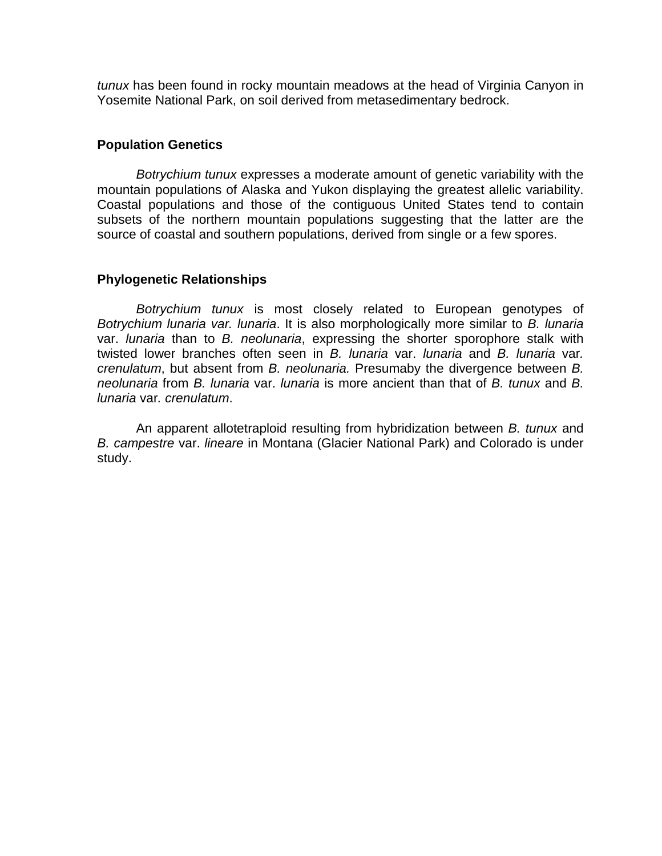*tunux* has been found in rocky mountain meadows at the head of Virginia Canyon in Yosemite National Park, on soil derived from metasedimentary bedrock.

## **Population Genetics**

*Botrychium tunux* expresses a moderate amount of genetic variability with the mountain populations of Alaska and Yukon displaying the greatest allelic variability. Coastal populations and those of the contiguous United States tend to contain subsets of the northern mountain populations suggesting that the latter are the source of coastal and southern populations, derived from single or a few spores.

## **Phylogenetic Relationships**

*Botrychium tunux* is most closely related to European genotypes of *Botrychium lunaria var. lunaria*. It is also morphologically more similar to *B. lunaria* var. *lunaria* than to *B. neolunaria*, expressing the shorter sporophore stalk with twisted lower branches often seen in *B. lunaria* var. *lunaria* and *B. lunaria* var*. crenulatum*, but absent from *B. neolunaria.* Presumaby the divergence between *B. neolunaria* from *B. lunaria* var. *lunaria* is more ancient than that of *B. tunux* and *B. lunaria* var*. crenulatum*.

An apparent allotetraploid resulting from hybridization between *B. tunux* and *B. campestre* var. *lineare* in Montana (Glacier National Park) and Colorado is under study.